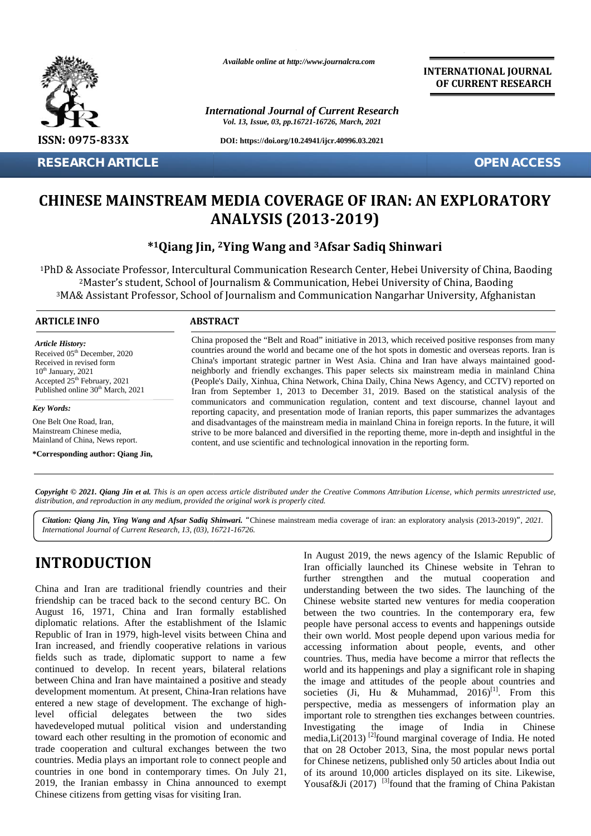

**RESEARCH ARTICLE OPEN ACCESS**

*Available online at http://www.journalcra.com*

*International Journal of Current Research Vol. 13, Issue, 03, pp.16721-16726, March, 2021*

**DOI: https://doi.org/10.24941/ijcr.40996.03.2021**

**INTERNATIONAL JOURNAL OF CURRENT RESEARCH**

# **CHINESE MAINSTREAM MEDIA COVERAGE OF IRAN: AN EXPLORATORY CHINESE MEDIA AN EXPLORATORYANALYSIS (2013-2019)**

## **\*1Qiang Jin, <sup>2</sup>Ying Wang and <sup>3</sup>Afsar Sadiq Shinwari**

<sup>1</sup>PhD & Associate Professor, Intercultural Communication Research Center, Hebei University of China, Baoding <sup>2</sup>Master's student, School of Journalism & Communication, Hebei University of China, Baoding <sup>3</sup>MA& Assistant Professor, School of Journalism and Communication Nangarhar University, Afghanistan k Associate Professor, Intercultural Communication Research Center, Hebei University<br><sup>2</sup>Master's student, School of Journalism & Communication, Hebei University of China<br>MA& Assistant Professor, School of Journalism and Co **CHINESE MAINSTREAM MEDIA COVERAGE OF IRAN: AN EXPLORATO**<br> **ANALYSIS (2013-2019)**<br>
\*1Qiang Jin, <sup>2</sup>Ying Wang and <sup>3</sup>Afsar Sadiq Shinwari<br>
<sup>1PhD</sup> & Associate Professor, Intercultural Communication Research Center, Hebei Uni

#### **ARTICLE INFO ABSTRACT ARTICLE ABSTRACT**

*Article History: Article History:* Received  $05<sup>th</sup>$  December, 2020 Received in revised form Received in revised form  $10<sup>th</sup>$  January, 2021 Received in revised form<br>  $10^{\text{th}}$  January, 2021<br>
Accepted 25<sup>th</sup> February, 2021 ( Published online  $30<sup>th</sup>$  March, 2021 **EXEARCH<br>
CHINESE**<br>
<sup>2</sup>Mast<br>
<sup>2</sup>Mast<br>
<sup>2</sup>Mast<br>
<sup>3</sup>MA& Assi<br> **ARTICLE INFO**<br> **Article History:**<br>
Received in revised for<br>
Received in revised for<br>
<br>
<br>
Received in revised for<br>
<br>
<br>
Received 25<sup>th</sup> Februa<br>
Published online 30

*Key Words:* One Belt One Road, Iran, Mainstream Chinese media, One Belt One Road, Iran,<br>Mainstream Chinese media,<br>Mainland of China, News report.

**\*Corresponding author: Qiang Jin,**

China proposed the "Belt and Road" initiative in 2013, which received positive responses from many countries around the world and became one of the hot spots in domestic and overseas reports. Iran is China's important strategic partner in West Asia. China and Iran have always maintained good neighborly and friendly exchanges. This paper selects six mainstream media in mainland China (People's Daily, Xinhua, China Network, China Daily, China News Agency, and CCTV) reported on countries around the world and became one of the hot spots in domestic and overseas reports. Iran is China's important strategic partner in West Asia. China and Iran have always maintained goodneighborly and friendly excha communicators and communication regulation, content and text discourse, channel layout and reporting capacity, and presentation mode of Iranian reports, this paper summarizes the advantages and disadvantages of the mainstream media in mainland China in foreign reports. In the future, it will communicators and communication regulation, content and text discourse, channel layout and reporting capacity, and presentation mode of Iranian reports, this paper summarizes the advantages and disadvantages of the mainstr content, and use scientific and technological innovation in the reporting form. er, 2020<br>
countries around the world and became one of the hot spots in domestic and overseas reports. Ira<br>
china Simportant strategic partner in West Asia. China Met Asia and Iran have always manitained go<br> *Shing a* mini

**Copyright © 2021. Qiang Jin et al.** This is an open access article distributed under the Creative Commons Attribution License, which permits unrestricted use,<br>distribution, and reproduction in any medium, provided the ori *distribution, and reproduction in any medium, provided the original work is properly cited.*

**]** *International Journal of Current Research, 13, (03), 16721-16726. Citation: Qiang Jin, Ying Wang and Afsar Sadiq Shinwari. "*Chinese mainstream media coverage of iran: an exploratory analysis (2013-2019)*", 2021.*

# **INTRODUCTION INTRODUCTION**

China and Iran are traditional friendly countries and their friendship can be traced back to the second century BC. On August 16, 1971, China and Iran formally established diplomatic relations. After the establishment of the Islamic Republic of Iran in 1979, high-level visits between China and Iran increased, and friendly cooperative relations in various fields such as trade, diplomatic support to name a few continued to develop. In recent years, bilateral relations between China and Iran have maintained a positive and steady development momentum. At present, China-Iran relations have entered a new stage of development. The exchange of highlevel official delegates between the two sides havedeveloped mutual political vision and understanding toward each other resulting in the promotion of economic and trade cooperation and cultural exchanges between the two that countries. Media plays an important role to connect people and countries in one bond in contemporary times. On July 21, 2019, the Iranian embassy in China announced to exempt Chinese citizens from getting visas for visiting Iran. er. 2020<br>
coutries around the world and became one of the hot spots in domestic<br>
mum<br>
china's important stretegic partner in West Asia. China and Iran he<br>
respectively and friendly exchanges. This paper selects is mainstr

In August 2019, the news agency of the Islamic Republic of Iran officially launched its Chinese website in Tehran to further strengthen and the mutual cooperation and understanding between the two sides. The launching of the Chinese website started new ventures for media cooperation between the two countries. In the contemporary era, few people have personal access to events and happenings outside Chinese website started new ventures for media cooperation<br>between the two countries. In the contemporary era, few<br>people have personal access to events and happenings outside<br>their own world. Most people depend upon vario accessing information about people, events, and other countries. Thus, media have become a mirror that reflects the world and its happenings and play a significant role in shaping the image and attitudes of the people about countries and societies (Ji, Hu & Muhammad, 2016)<sup>[1]</sup>. From this perspective, media as messengers of information play an important role to strengthen ties exchanges between countries. Investigating the image of India in Chinese media, $Li(2013)$ <sup>[2]</sup>found marginal coverage of India. He noted that on 28 October 2013, Sina, the most popular news portal for Chinese netizens, published only 50 articles about India out of its around 10,000 articles displayed on its site. Likewise, Yousaf&Ji (2017) <sup>[3]</sup>found that the framing of China Pakistan **INTRODUCTION**<br>
In August 2019, the news agency of the Islamic Republic of<br>
Iran officially launched its Chinese website in Tehran to<br>
triendship can be traced back to the second century BC. On<br>
Iran officially launched i world and its happenings and play a significant role in shaping<br>the image and attitudes of the people about countries and<br>societies (Ji, Hu & Muhammad, 2016)<sup>[1]</sup>. From this<br>perspective, media as messengers of information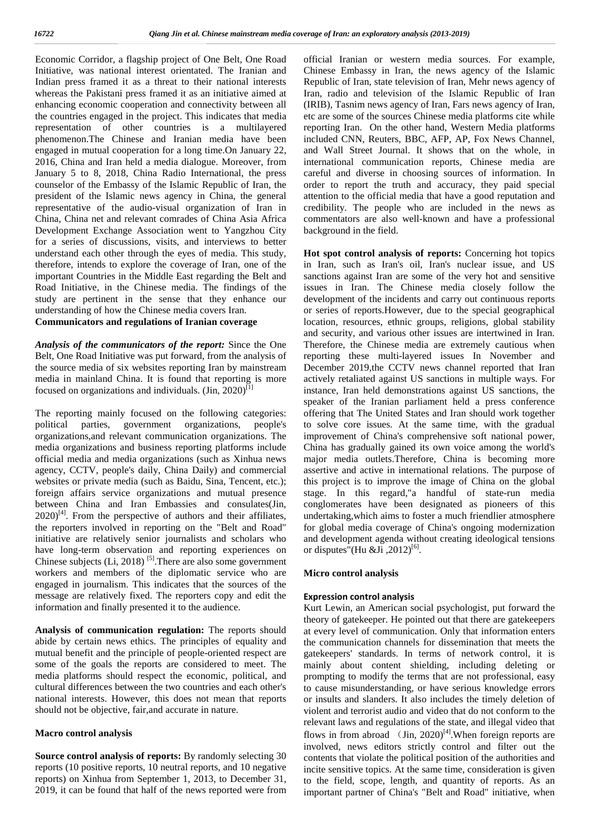Economic Corridor, a flagship project of One Belt, One Road Initiative, was national interest orientated. The Iranian and Indian press framed it as a threat to their national interests whereas the Pakistani press framed it as an initiative aimed at enhancing economic cooperation and connectivity between all the countries engaged in the project. This indicates that media representation of other countries is a multilayered phenomenon.The Chinese and Iranian media have been engaged in mutual cooperation for a long time.On January 22, 2016, China and Iran held a media dialogue. Moreover, from January 5 to 8, 2018, China Radio International, the press counselor of the Embassy of the Islamic Republic of Iran, the president of the Islamic news agency in China, the general representative of the audio-visual organization of Iran in China, China net and relevant comrades of China Asia Africa Development Exchange Association went to Yangzhou City for a series of discussions, visits, and interviews to better understand each other through the eyes of media. This study, therefore, intends to explore the coverage of Iran, one of the important Countries in the Middle East regarding the Belt and Road Initiative, in the Chinese media. The findings of the study are pertinent in the sense that they enhance our understanding of how the Chinese media covers Iran.

#### **Communicators and regulations of Iranian coverage**

*Analysis of the communicators of the report:* Since the One Belt, One Road Initiative was put forward, from the analysis of the source media of six websites reporting Iran by mainstream media in mainland China. It is found that reporting is more focused on organizations and individuals.  $\text{(Jin, 2020)}^{[1]}$ 

The reporting mainly focused on the following categories: political parties, government organizations, people's organizations,and relevant communication organizations. The media organizations and business reporting platforms include official media and media organizations (such as Xinhua news agency, CCTV, people's daily, China Daily) and commercial websites or private media (such as Baidu, Sina, Tencent, etc.); foreign affairs service organizations and mutual presence between China and Iran Embassies and consulates(Jin,  $2020$ <sup>[4]</sup>. From the perspective of authors and their affiliates, the reporters involved in reporting on the "Belt and Road" initiative are relatively senior journalists and scholars who have long-term observation and reporting experiences on Chinese subjects  $(Li, 2018)$ <sup>[5]</sup>. There are also some government workers and members of the diplomatic service who are engaged in journalism. This indicates that the sources of the message are relatively fixed. The reporters copy and edit the information and finally presented it to the audience.

**Analysis of communication regulation:** The reports should abide by certain news ethics. The principles of equality and mutual benefit and the principle of people-oriented respect are some of the goals the reports are considered to meet. The media platforms should respect the economic, political, and cultural differences between the two countries and each other's national interests. However, this does not mean that reports should not be objective, fair,and accurate in nature.

### **Macro control analysis**

**Source control analysis of reports:** By randomly selecting 30 reports (10 positive reports, 10 neutral reports, and 10 negative reports) on Xinhua from September 1, 2013, to December 31, 2019, it can be found that half of the news reported were from official Iranian or western media sources. For example, Chinese Embassy in Iran, the news agency of the Islamic Republic of Iran, state television of Iran, Mehr news agency of Iran, radio and television of the Islamic Republic of Iran (IRIB), Tasnim news agency of Iran, Fars news agency of Iran, etc are some of the sources Chinese media platforms cite while reporting Iran. On the other hand, Western Media platforms included CNN, Reuters, BBC, AFP, AP, Fox News Channel, and Wall Street Journal. It shows that on the whole, in international communication reports, Chinese media are careful and diverse in choosing sources of information. In order to report the truth and accuracy, they paid special attention to the official media that have a good reputation and credibility. The people who are included in the news as commentators are also well-known and have a professional background in the field.

**Hot spot control analysis of reports:** Concerning hot topics in Iran, such as Iran's oil, Iran's nuclear issue, and US sanctions against Iran are some of the very hot and sensitive issues in Iran. The Chinese media closely follow the development of the incidents and carry out continuous reports or series of reports.However, due to the special geographical location, resources, ethnic groups, religions, global stability and security, and various other issues are intertwined in Iran. Therefore, the Chinese media are extremely cautious when reporting these multi-layered issues In November and December 2019,the CCTV news channel reported that Iran actively retaliated against US sanctions in multiple ways. For instance, Iran held demonstrations against US sanctions, the speaker of the Iranian parliament held a press conference offering that The United States and Iran should work together to solve core issues. At the same time, with the gradual improvement of China's comprehensive soft national power, China has gradually gained its own voice among the world's major media outlets.Therefore, China is becoming more assertive and active in international relations. The purpose of this project is to improve the image of China on the global stage. In this regard,"a handful of state-run media conglomerates have been designated as pioneers of this undertaking,which aims to foster a much friendlier atmosphere for global media coverage of China's ongoing modernization and development agenda without creating ideological tensions or disputes"(Hu &Ji ,2012)<sup>[6]</sup>.

#### **Micro control analysis**

### **Expression control analysis**

Kurt Lewin, an American social psychologist, put forward the theory of gatekeeper. He pointed out that there are gatekeepers at every level of communication. Only that information enters the communication channels for dissemination that meets the gatekeepers' standards. In terms of network control, it is mainly about content shielding, including deleting or prompting to modify the terms that are not professional, easy to cause misunderstanding, or have serious knowledge errors or insults and slanders. It also includes the timely deletion of violent and terrorist audio and video that do not conform to the relevant laws and regulations of the state, and illegal video that flows in from abroad  $\left(\text{Jin}, 2020\right)^{[4]}$ . When foreign reports are involved, news editors strictly control and filter out the contents that violate the political position of the authorities and incite sensitive topics. At the same time, consideration is given to the field, scope, length, and quantity of reports. As an important partner of China's "Belt and Road" initiative, when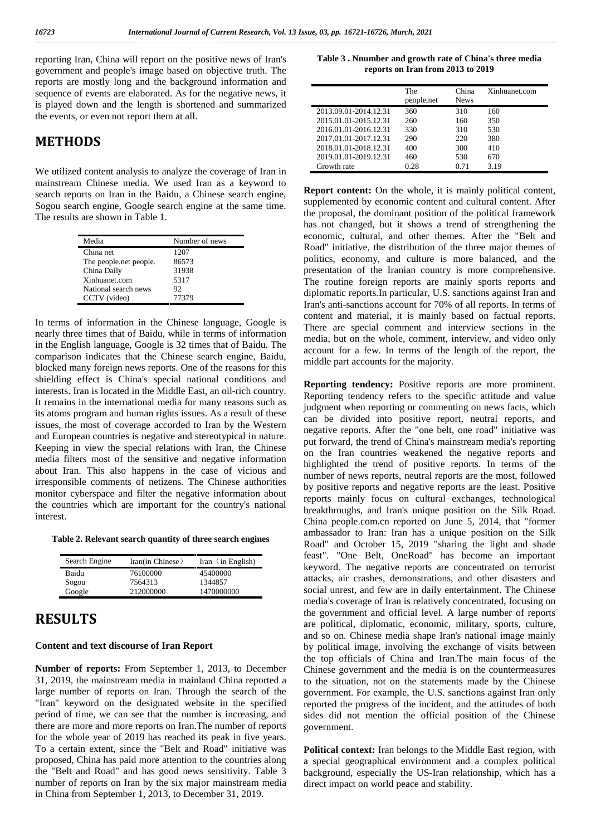reporting Iran, China will report on the positive news of Iran's government and people's image based on objective truth. The reports are mostly long and the background information and sequence of events are elaborated. As for the negative news, it is played down and the length is shortened and summarized the events, or even not report them at all.

# **METHODS**

We utilized content analysis to analyze the coverage of Iran in mainstream Chinese media. We used Iran as a keyword to search reports on Iran in the Baidu, a Chinese search engine, Sogou search engine, Google search engine at the same time. The results are shown in Table 1.

| Media                   | Number of news |
|-------------------------|----------------|
| China net               | 1207           |
| The people, net people. | 86573          |
| China Daily             | 31938          |
| Xinhuanet.com           | 5317           |
| National search news    | 92             |
| CCTV (video)            | 77379          |

In terms of information in the Chinese language, Google is nearly three times that of Baidu, while in terms of information in the English language, Google is 32 times that of Baidu. The comparison indicates that the Chinese search engine, Baidu, blocked many foreign news reports. One of the reasons for this shielding effect is China's special national conditions and interests. Iran is located in the Middle East, an oil-rich country. It remains in the international media for many reasons such as its atoms program and human rights issues. As a result of these issues, the most of coverage accorded to Iran by the Western and European countries is negative and stereotypical in nature. Keeping in view the special relations with Iran, the Chinese media filters most of the sensitive and negative information about Iran. This also happens in the case of vicious and irresponsible comments of netizens. The Chinese authorities monitor cyberspace and filter the negative information about the countries which are important for the country's national interest.

**Table 2. Relevant search quantity of three search engines**

| Search Engine | Iran(in Chinese) | Iran $(in English)$ |
|---------------|------------------|---------------------|
| Baidu         | 76100000         | 45400000            |
| Sogou         | 7564313          | 1344857             |
| Google        | 212000000        | 1470000000          |

# **RESULTS**

### **Content and text discourse of Iran Report**

**Number of reports:** From September 1, 2013, to December 31, 2019, the mainstream media in mainland China reported a large number of reports on Iran. Through the search of the "Iran" keyword on the designated website in the specified period of time, we can see that the number is increasing, and there are more and more reports on Iran.The number of reports for the whole year of 2019 has reached its peak in five years. To a certain extent, since the "Belt and Road" initiative was proposed, China has paid more attention to the countries along the "Belt and Road" and has good news sensitivity. Table 3 number of reports on Iran by the six major mainstream media in China from September 1, 2013, to December 31, 2019.

| Table 3. Nnumber and growth rate of China's three media |  |
|---------------------------------------------------------|--|
| reports on Iran from 2013 to 2019                       |  |

|                       | The<br>people.net | China<br><b>News</b> | Xinhuanet.com |
|-----------------------|-------------------|----------------------|---------------|
| 2013.09.01-2014.12.31 | 360               | 310                  | 160           |
| 2015.01.01-2015.12.31 | 260               | 160                  | 350           |
| 2016.01.01-2016.12.31 | 330               | 310                  | 530           |
| 2017.01.01-2017.12.31 | 290               | 220                  | 380           |
| 2018.01.01-2018.12.31 | 400               | 300                  | 410           |
| 2019.01.01-2019.12.31 | 460               | 530                  | 670           |
| Growth rate           | 0.28              | 0.71                 | 3.19          |

**Report content:** On the whole, it is mainly political content, supplemented by economic content and cultural content. After the proposal, the dominant position of the political framework has not changed, but it shows a trend of strengthening the economic, cultural, and other themes. After the "Belt and Road" initiative, the distribution of the three major themes of politics, economy, and culture is more balanced, and the presentation of the Iranian country is more comprehensive. The routine foreign reports are mainly sports reports and diplomatic reports.In particular, U.S. sanctions against Iran and Iran's anti-sanctions account for 70% of all reports. In terms of content and material, it is mainly based on factual reports. There are special comment and interview sections in the media, but on the whole, comment, interview, and video only account for a few. In terms of the length of the report, the middle part accounts for the majority.

**Reporting tendency:** Positive reports are more prominent. Reporting tendency refers to the specific attitude and value judgment when reporting or commenting on news facts, which can be divided into positive report, neutral reports, and negative reports. After the "one belt, one road" initiative was put forward, the trend of China's mainstream media's reporting on the Iran countries weakened the negative reports and highlighted the trend of positive reports. In terms of the number of news reports, neutral reports are the most, followed by positive reports and negative reports are the least. Positive reports mainly focus on cultural exchanges, technological breakthroughs, and Iran's unique position on the Silk Road. China people.com.cn reported on June 5, 2014, that "former ambassador to Iran: Iran has a unique position on the Silk Road" and October 15, 2019 "sharing the light and shade feast". "One Belt, OneRoad" has become an important keyword. The negative reports are concentrated on terrorist attacks, air crashes, demonstrations, and other disasters and social unrest, and few are in daily entertainment. The Chinese media's coverage of Iran is relatively concentrated, focusing on the government and official level. A large number of reports are political, diplomatic, economic, military, sports, culture, and so on. Chinese media shape Iran's national image mainly by political image, involving the exchange of visits between the top officials of China and Iran.The main focus of the Chinese government and the media is on the countermeasures to the situation, not on the statements made by the Chinese government. For example, the U.S. sanctions against Iran only reported the progress of the incident, and the attitudes of both sides did not mention the official position of the Chinese government.

**Political context:** Iran belongs to the Middle East region, with a special geographical environment and a complex political background, especially the US-Iran relationship, which has a direct impact on world peace and stability.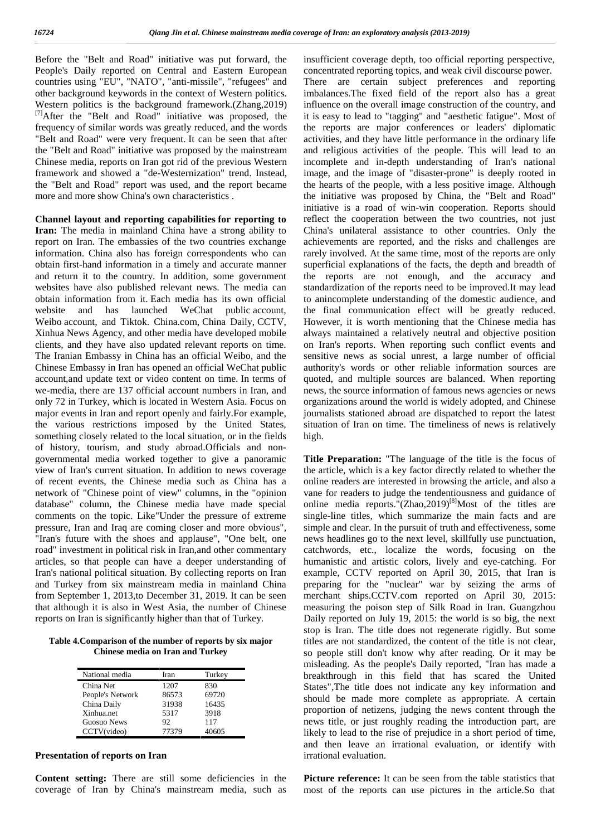Before the "Belt and Road" initiative was put forward, the People's Daily reported on Central and Eastern European countries using "EU", "NATO", "anti-missile", "refugees" and other background keywords in the context of Western politics. Western politics is the background framework.(Zhang,2019) [7]After the "Belt and Road" initiative was proposed, the frequency of similar words was greatly reduced, and the words "Belt and Road" were very frequent. It can be seen that after the "Belt and Road" initiative was proposed by the mainstream Chinese media, reports on Iran got rid of the previous Western framework and showed a "de-Westernization" trend. Instead, the "Belt and Road" report was used, and the report became more and more show China's own characteristics .

**Channel layout and reporting capabilities for reporting to Iran:** The media in mainland China have a strong ability to report on Iran. The embassies of the two countries exchange information. China also has foreign correspondents who can obtain first-hand information in a timely and accurate manner and return it to the country. In addition, some government websites have also published relevant news. The media can obtain information from it. Each media has its own official website and has launched WeChat public account, Weibo account, and Tiktok. China.com, China Daily, CCTV, Xinhua News Agency, and other media have developed mobile clients, and they have also updated relevant reports on time. The Iranian Embassy in China has an official Weibo, and the Chinese Embassy in Iran has opened an official WeChat public account,and update text or video content on time. In terms of we-media, there are 137 official account numbers in Iran, and only 72 in Turkey, which is located in Western Asia. Focus on major events in Iran and report openly and fairly.For example, the various restrictions imposed by the United States, something closely related to the local situation, or in the fields of history, tourism, and study abroad.Officials and non governmental media worked together to give a panoramic view of Iran's current situation. In addition to news coverage of recent events, the Chinese media such as China has a network of "Chinese point of view" columns, in the "opinion database" column, the Chinese media have made special comments on the topic. Like"Under the pressure of extreme pressure, Iran and Iraq are coming closer and more obvious", "Iran's future with the shoes and applause", "One belt, one road" investment in political risk in Iran,and other commentary articles, so that people can have a deeper understanding of Iran's national political situation. By collecting reports on Iran and Turkey from six mainstream media in mainland China from September 1, 2013,to December 31, 2019. It can be seen that although it is also in West Asia, the number of Chinese reports on Iran is significantly higher than that of Turkey.

**Table 4.Comparison of the number of reports by six major Chinese media on Iran and Turkey**

| National media     | Iran  | Turkey |
|--------------------|-------|--------|
| China Net          | 1207  | 830    |
| People's Network   | 86573 | 69720  |
| China Daily        | 31938 | 16435  |
| Xinhua.net         | 5317  | 3918   |
| <b>Guosuo News</b> | 92    | 117    |
| CCTV(video)        | 77379 | 40605  |

### **Presentation of reports on Iran**

**Content setting:** There are still some deficiencies in the coverage of Iran by China's mainstream media, such as insufficient coverage depth, too official reporting perspective, concentrated reporting topics, and weak civil discourse power. There are certain subject preferences and reporting imbalances.The fixed field of the report also has a great influence on the overall image construction of the country, and it is easy to lead to "tagging" and "aesthetic fatigue". Most of the reports are major conferences or leaders' diplomatic activities, and they have little performance in the ordinary life and religious activities of the people. This will lead to an incomplete and in-depth understanding of Iran's national image, and the image of "disaster-prone" is deeply rooted in the hearts of the people, with a less positive image. Although the initiative was proposed by China, the "Belt and Road" initiative is a road of win-win cooperation. Reports should reflect the cooperation between the two countries, not just China's unilateral assistance to other countries. Only the achievements are reported, and the risks and challenges are rarely involved. At the same time, most of the reports are only superficial explanations of the facts, the depth and breadth of the reports are not enough, and the accuracy and standardization of the reports need to be improved.It may lead to anincomplete understanding of the domestic audience, and the final communication effect will be greatly reduced. However, it is worth mentioning that the Chinese media has always maintained a relatively neutral and objective position on Iran's reports. When reporting such conflict events and sensitive news as social unrest, a large number of official authority's words or other reliable information sources are quoted, and multiple sources are balanced. When reporting news, the source information of famous news agencies or news organizations around the world is widely adopted, and Chinese journalists stationed abroad are dispatched to report the latest situation of Iran on time. The timeliness of news is relatively high.

**Title Preparation:** "The language of the title is the focus of the article, which is a key factor directly related to whether the online readers are interested in browsing the article, and also a vane for readers to judge the tendentiousness and guidance of online media reports."(Zhao,2019)<sup>[8]</sup>Most of the titles are single-line titles, which summarize the main facts and are simple and clear. In the pursuit of truth and effectiveness, some news headlines go to the next level, skillfully use punctuation, catchwords, etc., localize the words, focusing on the humanistic and artistic colors, lively and eye-catching. For example, CCTV reported on April 30, 2015, that Iran is preparing for the "nuclear" war by seizing the arms of merchant ships.CCTV.com reported on April 30, 2015: measuring the poison step of Silk Road in Iran. Guangzhou Daily reported on July 19, 2015: the world is so big, the next stop is Iran. The title does not regenerate rigidly. But some titles are not standardized, the content of the title is not clear, so people still don't know why after reading. Or it may be misleading. As the people's Daily reported, "Iran has made a breakthrough in this field that has scared the United States",The title does not indicate any key information and should be made more complete as appropriate. A certain proportion of netizens, judging the news content through the news title, or just roughly reading the introduction part, are likely to lead to the rise of prejudice in a short period of time, and then leave an irrational evaluation, or identify with irrational evaluation.

Picture reference: It can be seen from the table statistics that most of the reports can use pictures in the article.So that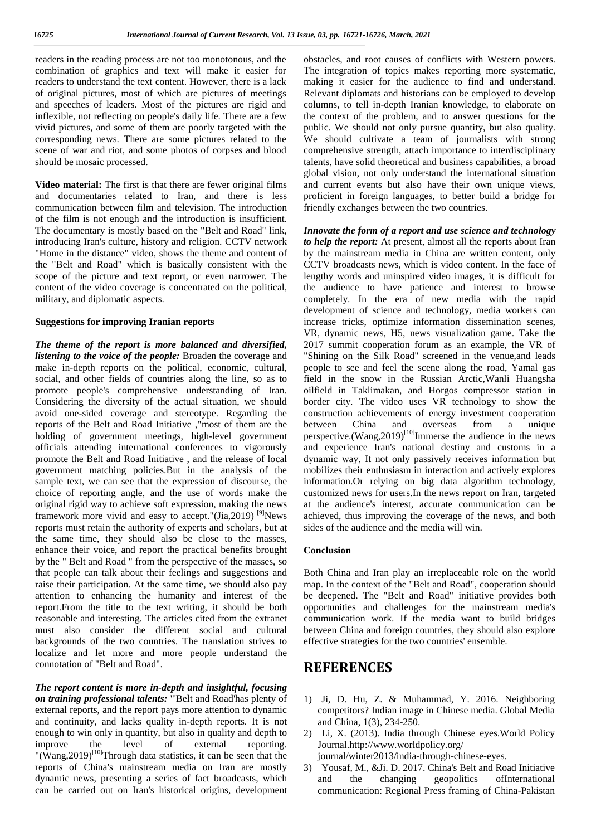readers in the reading process are not too monotonous, and the combination of graphics and text will make it easier for readers to understand the text content. However, there is a lack of original pictures, most of which are pictures of meetings and speeches of leaders. Most of the pictures are rigid and inflexible, not reflecting on people's daily life. There are a few vivid pictures, and some of them are poorly targeted with the corresponding news. There are some pictures related to the scene of war and riot, and some photos of corpses and blood should be mosaic processed.

**Video material:** The first is that there are fewer original films and documentaries related to Iran, and there is less communication between film and television. The introduction of the film is not enough and the introduction is insufficient. The documentary is mostly based on the "Belt and Road" link, introducing Iran's culture, history and religion. CCTV network "Home in the distance" video, shows the theme and content of the "Belt and Road" which is basically consistent with the scope of the picture and text report, or even narrower. The content of the video coverage is concentrated on the political, military, and diplomatic aspects.

#### **Suggestions for improving Iranian reports**

*The theme of the report is more balanced and diversified, listening to the voice of the people:* Broaden the coverage and make in-depth reports on the political, economic, cultural, social, and other fields of countries along the line, so as to promote people's comprehensive understanding of Iran. Considering the diversity of the actual situation, we should avoid one-sided coverage and stereotype. Regarding the reports of the Belt and Road Initiative ,"most of them are the holding of government meetings, high-level government officials attending international conferences to vigorously promote the Belt and Road Initiative , and the release of local government matching policies.But in the analysis of the sample text, we can see that the expression of discourse, the choice of reporting angle, and the use of words make the original rigid way to achieve soft expression, making the news framework more vivid and easy to accept."(Jia, 2019) <sup>[9]</sup>News reports must retain the authority of experts and scholars, but at the same time, they should also be close to the masses, enhance their voice, and report the practical benefits brought by the " Belt and Road " from the perspective of the masses, so that people can talk about their feelings and suggestions and raise their participation. At the same time, we should also pay attention to enhancing the humanity and interest of the report.From the title to the text writing, it should be both reasonable and interesting. The articles cited from the extranet must also consider the different social and cultural backgrounds of the two countries. The translation strives to localize and let more and more people understand the connotation of "Belt and Road".

*The report content is more in-depth and insightful, focusing on training professional talents:* "'Belt and Road'has plenty of external reports, and the report pays more attention to dynamic and continuity, and lacks quality in-depth reports. It is not enough to win only in quantity, but also in quality and depth to improve the level of external reporting. "(Wang,  $2019$ )<sup>[10]</sup>Through data statistics, it can be seen that the reports of China's mainstream media on Iran are mostly dynamic news, presenting a series of fact broadcasts, which can be carried out on Iran's historical origins, development

obstacles, and root causes of conflicts with Western powers. The integration of topics makes reporting more systematic, making it easier for the audience to find and understand. Relevant diplomats and historians can be employed to develop columns, to tell in-depth Iranian knowledge, to elaborate on the context of the problem, and to answer questions for the public. We should not only pursue quantity, but also quality. We should cultivate a team of journalists with strong comprehensive strength, attach importance to interdisciplinary talents, have solid theoretical and business capabilities, a broad global vision, not only understand the international situation and current events but also have their own unique views, proficient in foreign languages, to better build a bridge for friendly exchanges between the two countries.

*Innovate the form of a report and use science and technology to help the report:* At present, almost all the reports about Iran by the mainstream media in China are written content, only CCTV broadcasts news, which is video content. In the face of lengthy words and uninspired video images, it is difficult for the audience to have patience and interest to browse completely. In the era of new media with the rapid development of science and technology, media workers can increase tricks, optimize information dissemination scenes, VR, dynamic news, H5, news visualization game. Take the 2017 summit cooperation forum as an example, the VR of "Shining on the Silk Road" screened in the venue,and leads people to see and feel the scene along the road, Yamal gas field in the snow in the Russian Arctic,Wanli Huangsha oilfield in Taklimakan, and Horgos compressor station in border city. The video uses VR technology to show the construction achievements of energy investment cooperation<br>between China and overseas from a unique between China and overseas from a unique perspective.(Wang,2019)<sup>[10]</sup>Immerse the audience in the news and experience Iran's national destiny and customs in a dynamic way, It not only passively receives information but mobilizes their enthusiasm in interaction and actively explores information.Or relying on big data algorithm technology, customized news for users.In the news report on Iran, targeted at the audience's interest, accurate communication can be achieved, thus improving the coverage of the news, and both sides of the audience and the media will win.

#### **Conclusion**

Both China and Iran play an irreplaceable role on the world map. In the context of the "Belt and Road", cooperation should be deepened. The "Belt and Road" initiative provides both opportunities and challenges for the mainstream media's communication work. If the media want to build bridges between China and foreign countries, they should also explore effective strategies for the two countries' ensemble.

## **REFERENCES**

- 1) Ji, D. Hu, Z. & Muhammad, Y. 2016. Neighboring competitors? Indian image in Chinese media. Global Media and China, 1(3), 234-250.
- 2) Li, X. (2013). India through Chinese eyes.World Policy Journal.http://www.worldpolicy.org/
	- journal/winter2013/india-through-chinese-eyes.
- 3) Yousaf, M., &Ji. D. 2017. China's Belt and Road Initiative and the changing geopolitics ofInternational communication: Regional Press framing of China-Pakistan